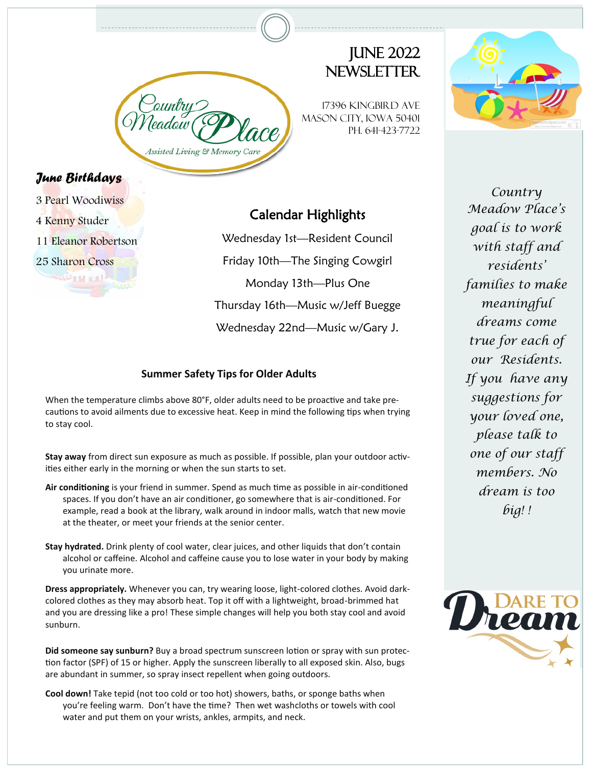Assisted Living & Memory

# **JUNE 2022** NEWSI FTTFR

17396 Kingbird Ave Mason City, Iowa 50401 Ph. 641-423-7722



#### *June Birthda[ys](http://countrymeadowplace.com/home/)*

3 Pearl Woodiwiss

4 Kenny Studer

11 Eleanor Robertson

والمساور ومالحقته

25 Sharon Cross

## Calendar Highlights

Wednesday 1st—Resident Council Friday 10th—The Singing Cowgirl Monday 13th—Plus One Thursday 16th—Music w/Jeff Buegge Wednesday 22nd—Music w/Gary J.

#### **Summer Safety Tips for Older Adults**

When the temperature climbs above 80°F, older adults need to be proactive and take precautions to avoid ailments due to excessive heat. Keep in mind the following tips when trying to stay cool.

**Stay away** from direct sun exposure as much as possible. If possible, plan your outdoor activities either early in the morning or when the sun starts to set.

- **Air conditioning** is your friend in summer. Spend as much time as possible in air-conditioned spaces. If you don't have an air conditioner, go somewhere that is air-conditioned. For example, read a book at the library, walk around in indoor malls, watch that new movie at the theater, or meet your friends at the senior center.
- **Stay hydrated.** Drink plenty of cool water, clear juices, and other liquids that don't contain alcohol or caffeine. Alcohol and caffeine cause you to lose water in your body by making you urinate more.

**Dress appropriately.** Whenever you can, try wearing loose, light-colored clothes. Avoid darkcolored clothes as they may absorb heat. Top it off with a lightweight, broad-brimmed hat and you are dressing like a pro! These simple changes will help you both stay cool and avoid sunburn.

**Did someone say sunburn?** Buy a broad spectrum sunscreen lotion or spray with sun protection factor (SPF) of 15 or higher. Apply the sunscreen liberally to all exposed skin. Also, bugs are abundant in summer, so spray insect repellent when going outdoors.

**Cool down!** Take tepid (not too cold or too hot) showers, baths, or sponge baths when you're feeling warm. Don't have the time? Then wet washcloths or towels with cool water and put them on your wrists, ankles, armpits, and neck.

*Country Meadow Place's goal is to work with staff and residents' families to make meaningful dreams come true for each of our Residents. If you have any suggestions for your loved one, please talk to one of our staff members. No dream is too big! !*